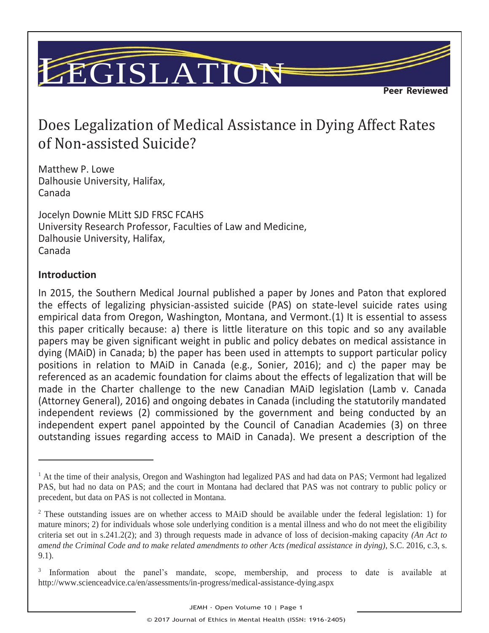# LEGISLATION

**Peer Reviewed** 

=

## Does Legalization of Medical Assistance in Dying Affect Rates of Non-assisted Suicide?

Matthew P. Lowe Dalhousie University, Halifax, Canada

Jocelyn Downie MLitt SJD FRSC FCAHS University Research Professor, Faculties of Law and Medicine, Dalhousie University, Halifax, Canada

#### **Introduction**

l

In 2015, the Southern Medical Journal published a paper by Jones and Paton that explored the effects of legalizing physician-assisted suicide (PAS) on state-level suicide rates using empirical data from Oregon, Washington, Montana, and Vermont.(1) It is essential to assess this paper critically because: a) there is little literature on this topic and so any available papers may be given significant weight in public and policy debates on medical assistance in dying (MAiD) in Canada; b) the paper has been used in attempts to support particular policy positions in relation to MAiD in Canada (e.g., Sonier, 2016); and c) the paper may be referenced as an academic foundation for claims about the effects of legalization that will be made in the Charter challenge to the new Canadian MAiD legislation (Lamb v. Canada (Attorney General), 2016) and ongoing debates in Canada (including the statutorily mandated independent reviews (2) commissioned by the government and being conducted by an independent expert panel appointed by the Council of Canadian Academies (3) on three outstanding issues regarding access to MAiD in Canada). We present a description of the

<sup>&</sup>lt;sup>1</sup> At the time of their analysis, Oregon and Washington had legalized PAS and had data on PAS; Vermont had legalized PAS, but had no data on PAS; and the court in Montana had declared that PAS was not contrary to public policy or precedent, but data on PAS is not collected in Montana.

<sup>2</sup> These outstanding issues are on whether access to MAiD should be available under the federal legislation: 1) for mature minors; 2) for individuals whose sole underlying condition is a mental illness and who do not meet the eligibility criteria set out in s.241.2(2); and 3) through requests made in advance of loss of decision-making capacity *(An Act to amend the Criminal Code and to make related amendments to other Acts (medical assistance in dying),* S.C. 2016, c.3, s. 9.1).

<sup>&</sup>lt;sup>3</sup> Information about the panel's mandate, scope, membership, and process to date is available at http://www.scienceadvice.ca/en/assessments/in-progress/medical-assistance-dying.aspx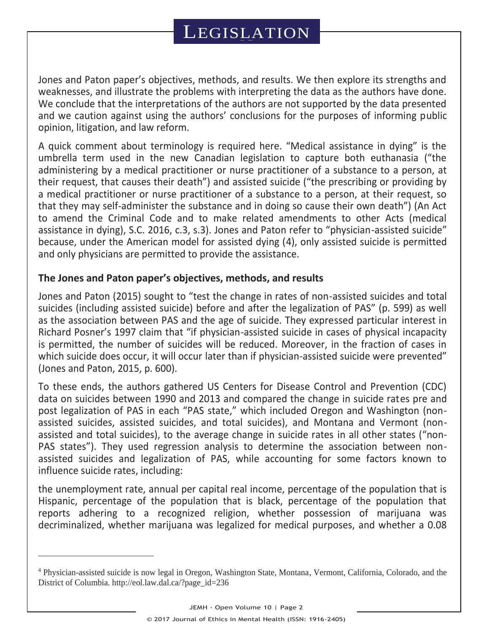Jones and Paton paper's objectives, methods, and results. We then explore its strengths and weaknesses, and illustrate the problems with interpreting the data as the authors have done. We conclude that the interpretations of the authors are not supported by the data presented and we caution against using the authors' conclusions for the purposes of informing public opinion, litigation, and law reform.

A quick comment about terminology is required here. "Medical assistance in dying" is the umbrella term used in the new Canadian legislation to capture both euthanasia ("the administering by a medical practitioner or nurse practitioner of a substance to a person, at their request, that causes their death") and assisted suicide ("the prescribing or providing by a medical practitioner or nurse practitioner of a substance to a person, at their request, so that they may self-administer the substance and in doing so cause their own death") (An Act to amend the Criminal Code and to make related amendments to other Acts (medical assistance in dying), S.C. 2016, c.3, s.3). Jones and Paton refer to "physician-assisted suicide" because, under the American model for assisted dying (4), only assisted suicide is permitted and only physicians are permitted to provide the assistance.

#### **The Jones and Paton paper's objectives, methods, and results**

l

Jones and Paton (2015) sought to "test the change in rates of non-assisted suicides and total suicides (including assisted suicide) before and after the legalization of PAS" (p. 599) as well as the association between PAS and the age of suicide. They expressed particular interest in Richard Posner's 1997 claim that "if physician-assisted suicide in cases of physical incapacity is permitted, the number of suicides will be reduced. Moreover, in the fraction of cases in which suicide does occur, it will occur later than if physician-assisted suicide were prevented" (Jones and Paton, 2015, p. 600).

To these ends, the authors gathered US Centers for Disease Control and Prevention (CDC) data on suicides between 1990 and 2013 and compared the change in suicide rates pre and post legalization of PAS in each "PAS state," which included Oregon and Washington (nonassisted suicides, assisted suicides, and total suicides), and Montana and Vermont (nonassisted and total suicides), to the average change in suicide rates in all other states ("non-PAS states"). They used regression analysis to determine the association between nonassisted suicides and legalization of PAS, while accounting for some factors known to influence suicide rates, including:

the unemployment rate, annual per capital real income, percentage of the population that is Hispanic, percentage of the population that is black, percentage of the population that reports adhering to a recognized religion, whether possession of marijuana was decriminalized, whether marijuana was legalized for medical purposes, and whether a 0.08

<sup>4</sup> Physician-assisted suicide is now legal in Oregon, Washington State, Montana, Vermont, California, Colorado, and the District of Columbia. http://eol.law.dal.ca/?page\_id=236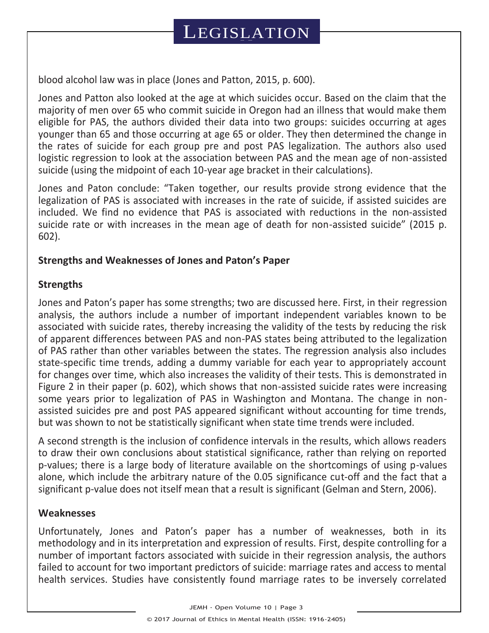blood alcohol law was in place (Jones and Patton, 2015, p. 600).

Jones and Patton also looked at the age at which suicides occur. Based on the claim that the majority of men over 65 who commit suicide in Oregon had an illness that would make them eligible for PAS, the authors divided their data into two groups: suicides occurring at ages younger than 65 and those occurring at age 65 or older. They then determined the change in the rates of suicide for each group pre and post PAS legalization. The authors also used logistic regression to look at the association between PAS and the mean age of non-assisted suicide (using the midpoint of each 10-year age bracket in their calculations).

Jones and Paton conclude: "Taken together, our results provide strong evidence that the legalization of PAS is associated with increases in the rate of suicide, if assisted suicides are included. We find no evidence that PAS is associated with reductions in the non-assisted suicide rate or with increases in the mean age of death for non-assisted suicide" (2015 p. 602).

## **Strengths and Weaknesses of Jones and Paton's Paper**

### **Strengths**

Jones and Paton's paper has some strengths; two are discussed here. First, in their regression analysis, the authors include a number of important independent variables known to be associated with suicide rates, thereby increasing the validity of the tests by reducing the risk of apparent differences between PAS and non-PAS states being attributed to the legalization of PAS rather than other variables between the states. The regression analysis also includes state-specific time trends, adding a dummy variable for each year to appropriately account for changes over time, which also increases the validity of their tests. This is demonstrated in Figure 2 in their paper (p. 602), which shows that non-assisted suicide rates were increasing some years prior to legalization of PAS in Washington and Montana. The change in nonassisted suicides pre and post PAS appeared significant without accounting for time trends, but was shown to not be statistically significant when state time trends were included.

A second strength is the inclusion of confidence intervals in the results, which allows readers to draw their own conclusions about statistical significance, rather than relying on reported p-values; there is a large body of literature available on the shortcomings of using p-values alone, which include the arbitrary nature of the 0.05 significance cut-off and the fact that a significant p-value does not itself mean that a result is significant (Gelman and Stern, 2006).

### **Weaknesses**

Unfortunately, Jones and Paton's paper has a number of weaknesses, both in its methodology and in its interpretation and expression of results. First, despite controlling for a number of important factors associated with suicide in their regression analysis, the authors failed to account for two important predictors of suicide: marriage rates and access to mental health services. Studies have consistently found marriage rates to be inversely correlated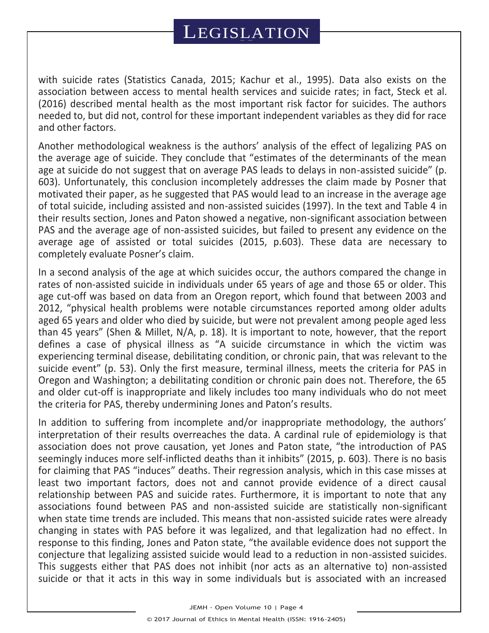with suicide rates (Statistics Canada, 2015; Kachur et al., 1995). Data also exists on the association between access to mental health services and suicide rates; in fact, Steck et al. (2016) described mental health as the most important risk factor for suicides. The authors needed to, but did not, control for these important independent variables as they did for race and other factors.

Another methodological weakness is the authors' analysis of the effect of legalizing PAS on the average age of suicide. They conclude that "estimates of the determinants of the mean age at suicide do not suggest that on average PAS leads to delays in non-assisted suicide" (p. 603). Unfortunately, this conclusion incompletely addresses the claim made by Posner that motivated their paper, as he suggested that PAS would lead to an increase in the average age of total suicide, including assisted and non-assisted suicides (1997). In the text and Table 4 in their results section, Jones and Paton showed a negative, non-significant association between PAS and the average age of non-assisted suicides, but failed to present any evidence on the average age of assisted or total suicides (2015, p.603). These data are necessary to completely evaluate Posner's claim.

In a second analysis of the age at which suicides occur, the authors compared the change in rates of non-assisted suicide in individuals under 65 years of age and those 65 or older. This age cut-off was based on data from an Oregon report, which found that between 2003 and 2012, "physical health problems were notable circumstances reported among older adults aged 65 years and older who died by suicide, but were not prevalent among people aged less than 45 years" (Shen & Millet, N/A, p. 18). It is important to note, however, that the report defines a case of physical illness as "A suicide circumstance in which the victim was experiencing terminal disease, debilitating condition, or chronic pain, that was relevant to the suicide event" (p. 53). Only the first measure, terminal illness, meets the criteria for PAS in Oregon and Washington; a debilitating condition or chronic pain does not. Therefore, the 65 and older cut-off is inappropriate and likely includes too many individuals who do not meet the criteria for PAS, thereby undermining Jones and Paton's results.

In addition to suffering from incomplete and/or inappropriate methodology, the authors' interpretation of their results overreaches the data. A cardinal rule of epidemiology is that association does not prove causation, yet Jones and Paton state, "the introduction of PAS seemingly induces more self-inflicted deaths than it inhibits" (2015, p. 603). There is no basis for claiming that PAS "induces" deaths. Their regression analysis, which in this case misses at least two important factors, does not and cannot provide evidence of a direct causal relationship between PAS and suicide rates. Furthermore, it is important to note that any associations found between PAS and non-assisted suicide are statistically non-significant when state time trends are included. This means that non-assisted suicide rates were already changing in states with PAS before it was legalized, and that legalization had no effect. In response to this finding, Jones and Paton state, "the available evidence does not support the conjecture that legalizing assisted suicide would lead to a reduction in non-assisted suicides. This suggests either that PAS does not inhibit (nor acts as an alternative to) non-assisted suicide or that it acts in this way in some individuals but is associated with an increased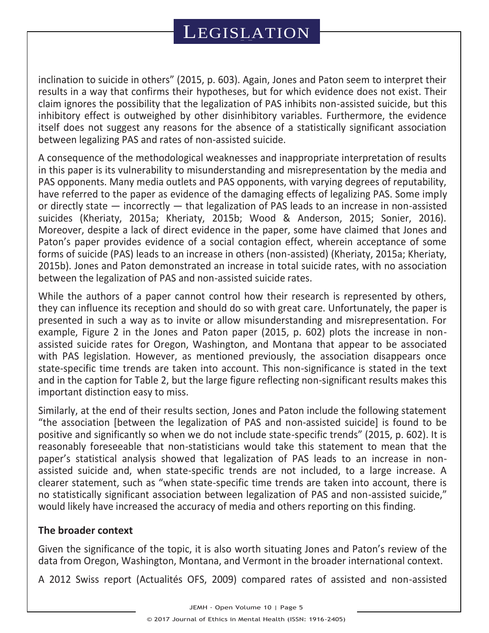inclination to suicide in others" (2015, p. 603). Again, Jones and Paton seem to interpret their results in a way that confirms their hypotheses, but for which evidence does not exist. Their claim ignores the possibility that the legalization of PAS inhibits non-assisted suicide, but this inhibitory effect is outweighed by other disinhibitory variables. Furthermore, the evidence itself does not suggest any reasons for the absence of a statistically significant association between legalizing PAS and rates of non-assisted suicide.

A consequence of the methodological weaknesses and inappropriate interpretation of results in this paper is its vulnerability to misunderstanding and misrepresentation by the media and PAS opponents. Many media outlets and PAS opponents, with varying degrees of reputability, have referred to the paper as evidence of the damaging effects of legalizing PAS. Some imply or directly state — incorrectly — that legalization of PAS leads to an increase in non-assisted suicides (Kheriaty, 2015a; Kheriaty, 2015b; Wood & Anderson, 2015; Sonier, 2016). Moreover, despite a lack of direct evidence in the paper, some have claimed that Jones and Paton's paper provides evidence of a social contagion effect, wherein acceptance of some forms of suicide (PAS) leads to an increase in others (non-assisted) (Kheriaty, 2015a; Kheriaty, 2015b). Jones and Paton demonstrated an increase in total suicide rates, with no association between the legalization of PAS and non-assisted suicide rates.

While the authors of a paper cannot control how their research is represented by others, they can influence its reception and should do so with great care. Unfortunately, the paper is presented in such a way as to invite or allow misunderstanding and misrepresentation. For example, Figure 2 in the Jones and Paton paper (2015, p. 602) plots the increase in nonassisted suicide rates for Oregon, Washington, and Montana that appear to be associated with PAS legislation. However, as mentioned previously, the association disappears once state-specific time trends are taken into account. This non-significance is stated in the text and in the caption for Table 2, but the large figure reflecting non-significant results makes this important distinction easy to miss.

Similarly, at the end of their results section, Jones and Paton include the following statement "the association [between the legalization of PAS and non-assisted suicide] is found to be positive and significantly so when we do not include state-specific trends" (2015, p. 602). It is reasonably foreseeable that non-statisticians would take this statement to mean that the paper's statistical analysis showed that legalization of PAS leads to an increase in nonassisted suicide and, when state-specific trends are not included, to a large increase. A clearer statement, such as "when state-specific time trends are taken into account, there is no statistically significant association between legalization of PAS and non-assisted suicide," would likely have increased the accuracy of media and others reporting on this finding.

### **The broader context**

Given the significance of the topic, it is also worth situating Jones and Paton's review of the data from Oregon, Washington, Montana, and Vermont in the broader international context.

A 2012 Swiss report (Actualités OFS, 2009) compared rates of assisted and non-assisted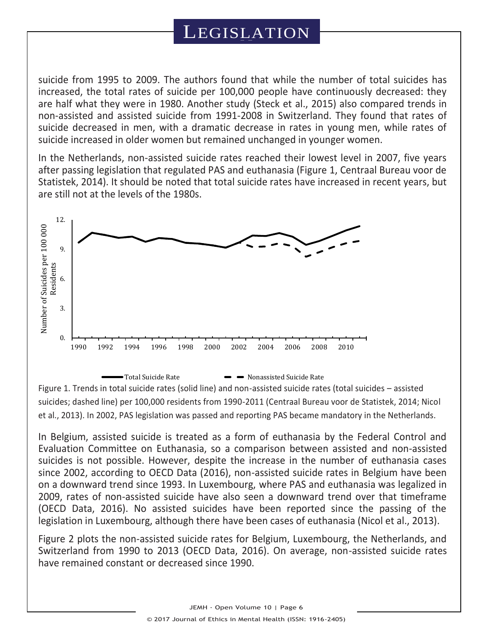suicide from 1995 to 2009. The authors found that while the number of total suicides has increased, the total rates of suicide per 100,000 people have continuously decreased: they are half what they were in 1980. Another study (Steck et al., 2015) also compared trends in non-assisted and assisted suicide from 1991-2008 in Switzerland. They found that rates of suicide decreased in men, with a dramatic decrease in rates in young men, while rates of suicide increased in older women but remained unchanged in younger women.

In the Netherlands, non-assisted suicide rates reached their lowest level in 2007, five years after passing legislation that regulated PAS and euthanasia (Figure 1, Centraal Bureau voor de Statistek, 2014). It should be noted that total suicide rates have increased in recent years, but are still not at the levels of the 1980s.



Figure 1. Trends in total suicide rates (solid line) and non-assisted suicide rates (total suicides – assisted suicides; dashed line) per 100,000 residents from 1990-2011 (Centraal Bureau voor de Statistek, 2014; Nicol et al., 2013). In 2002, PAS legislation was passed and reporting PAS became mandatory in the Netherlands.

In Belgium, assisted suicide is treated as a form of euthanasia by the Federal Control and Evaluation Committee on Euthanasia, so a comparison between assisted and non-assisted suicides is not possible. However, despite the increase in the number of euthanasia cases since 2002, according to OECD Data (2016), non-assisted suicide rates in Belgium have been on a downward trend since 1993. In Luxembourg, where PAS and euthanasia was legalized in 2009, rates of non-assisted suicide have also seen a downward trend over that timeframe (OECD Data, 2016). No assisted suicides have been reported since the passing of the legislation in Luxembourg, although there have been cases of euthanasia (Nicol et al., 2013).

Figure 2 plots the non-assisted suicide rates for Belgium, Luxembourg, the Netherlands, and Switzerland from 1990 to 2013 (OECD Data, 2016). On average, non-assisted suicide rates have remained constant or decreased since 1990.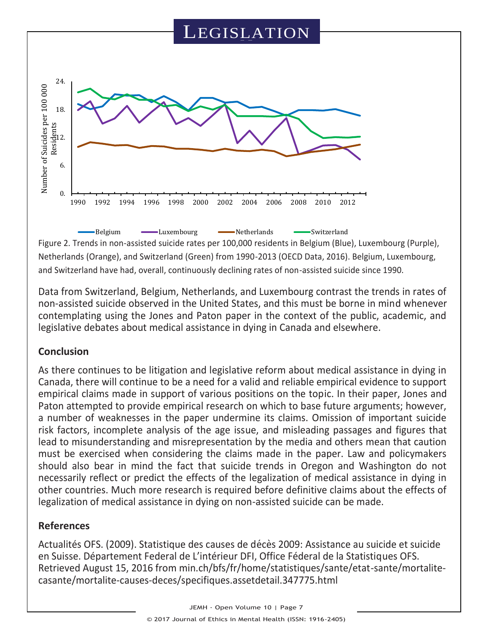

Figure 2. Trends in non-assisted suicide rates per 100,000 residents in Belgium (Blue), Luxembourg (Purple), Netherlands (Orange), and Switzerland (Green) from 1990-2013 (OECD Data, 2016). Belgium, Luxembourg, and Switzerland have had, overall, continuously declining rates of non-assisted suicide since 1990.

Data from Switzerland, Belgium, Netherlands, and Luxembourg contrast the trends in rates of non-assisted suicide observed in the United States, and this must be borne in mind whenever contemplating using the Jones and Paton paper in the context of the public, academic, and legislative debates about medical assistance in dying in Canada and elsewhere.

## **Conclusion**

As there continues to be litigation and legislative reform about medical assistance in dying in Canada, there will continue to be a need for a valid and reliable empirical evidence to support empirical claims made in support of various positions on the topic. In their paper, Jones and Paton attempted to provide empirical research on which to base future arguments; however, a number of weaknesses in the paper undermine its claims. Omission of important suicide risk factors, incomplete analysis of the age issue, and misleading passages and figures that lead to misunderstanding and misrepresentation by the media and others mean that caution must be exercised when considering the claims made in the paper. Law and policymakers should also bear in mind the fact that suicide trends in Oregon and Washington do not necessarily reflect or predict the effects of the legalization of medical assistance in dying in other countries. Much more research is required before definitive claims about the effects of legalization of medical assistance in dying on non-assisted suicide can be made.

## **References**

Actualités OFS. (2009). Statistique des causes de décès 2009: Assistance au suicide et suicide en Suisse. Département Federal de L'intérieur DFI, Office Féderal de la Statistiques OFS. Retrieved August 15, 2016 from min.ch/bfs/fr/home/statistiques/sante/etat-sante/mortalitecasante/mortalite-causes-deces/specifiques.assetdetail.347775.html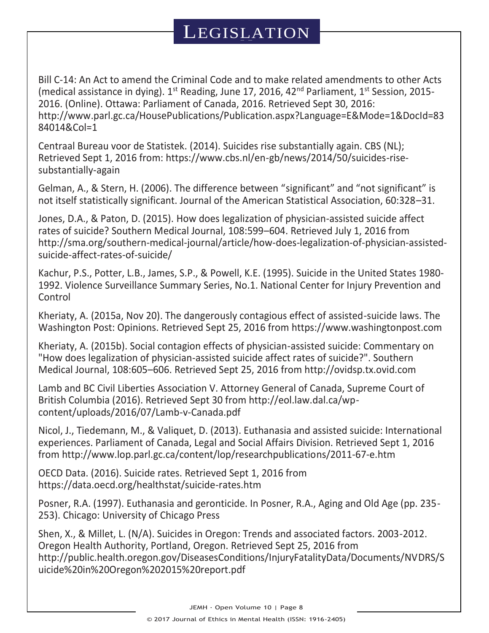Bill C-14: An Act to amend the Criminal Code and to make related amendments to other Acts (medical assistance in dying).  $1^{st}$  Reading, June 17, 2016, 42<sup>nd</sup> Parliament,  $1^{st}$  Session, 2015-2016. (Online). Ottawa: Parliament of Canada, 2016. Retrieved Sept 30, 2016: http://www.parl.gc.ca/HousePublications/Publication.aspx?Language=E&Mode=1&DocId=83 84014&Col=1

Centraal Bureau voor de Statistek. (2014). Suicides rise substantially again. CBS (NL); Retrieved Sept 1, 2016 from: https://www.cbs.nl/en-gb/news/2014/50/suicides-risesubstantially-again

Gelman, A., & Stern, H. (2006). The difference between "significant" and "not significant" is not itself statistically significant. Journal of the American Statistical Association, 60:328–31.

Jones, D.A., & Paton, D. (2015). How does legalization of physician-assisted suicide affect rates of suicide? Southern Medical Journal, 108:599–604. Retrieved July 1, 2016 from http://sma.org/southern-medical-journal/article/how-does-legalization-of-physician-assistedsuicide-affect-rates-of-suicide/

Kachur, P.S., Potter, L.B., James, S.P., & Powell, K.E. (1995). Suicide in the United States 1980- 1992. Violence Surveillance Summary Series, No.1. National Center for Injury Prevention and Control

Kheriaty, A. (2015a, Nov 20). The dangerously contagious effect of assisted-suicide laws. The Washington Post: Opinions. Retrieved Sept 25, 2016 from https://www.washingtonpost.com

Kheriaty, A. (2015b). Social contagion effects of physician-assisted suicide: Commentary on "How does legalization of physician-assisted suicide affect rates of suicide?". Southern Medical Journal, 108:605–606. Retrieved Sept 25, 2016 from http://ovidsp.tx.ovid.com

Lamb and BC Civil Liberties Association V. Attorney General of Canada, Supreme Court of British Columbia (2016). Retrieved Sept 30 from http://eol.law.dal.ca/wpcontent/uploads/2016/07/Lamb-v-Canada.pdf

Nicol, J., Tiedemann, M., & Valiquet, D. (2013). Euthanasia and assisted suicide: International experiences. Parliament of Canada, Legal and Social Affairs Division. Retrieved Sept 1, 2016 from http://www.lop.parl.gc.ca/content/lop/researchpublications/2011-67-e.htm

OECD Data. (2016). Suicide rates. Retrieved Sept 1, 2016 from https://data.oecd.org/healthstat/suicide-rates.htm

Posner, R.A. (1997). Euthanasia and geronticide. In Posner, R.A., Aging and Old Age (pp. 235- 253). Chicago: University of Chicago Press

Shen, X., & Millet, L. (N/A). Suicides in Oregon: Trends and associated factors. 2003-2012. Oregon Health Authority, Portland, Oregon. Retrieved Sept 25, 2016 from http://public.health.oregon.gov/DiseasesConditions/InjuryFatalityData/Documents/NVDRS/S uicide%20in%20Oregon%202015%20report.pdf